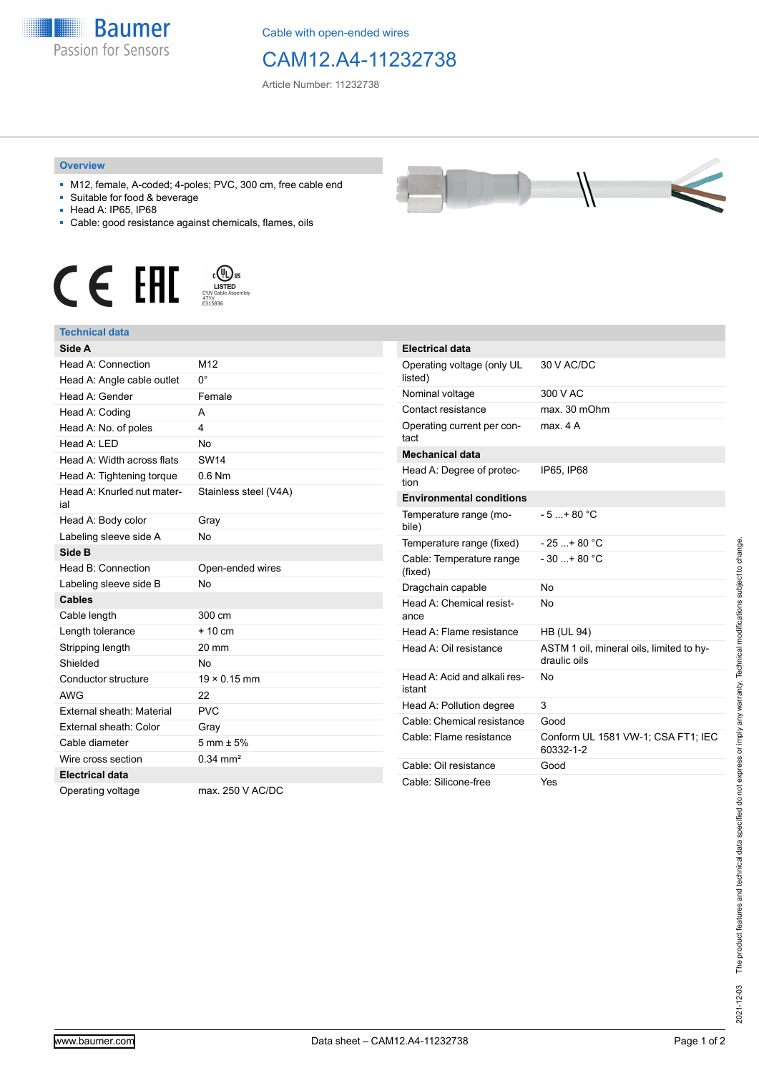

Cable with open-ended wires

## CAM12.A4-11232738

Article Number: 11232738

## **Overview**

- M12, female, A-coded; 4-poles; PVC, 300 cm, free cable end
- Suitable for food & beverage
- Head A: IP65, IP68
- Cable: good resistance against chemicals, flames, oils







| Side A                     |                        | <b>Electrical da</b> |
|----------------------------|------------------------|----------------------|
| Head A: Connection         | M12                    | Operating vo         |
| Head A: Angle cable outlet | 0°                     | listed)              |
| Head A: Gender             | Female                 | Nominal volta        |
| Head A: Coding             | A                      | Contact resis        |
| Head A: No. of poles       | 4                      | Operating cu         |
| Head A: LED                | <b>No</b>              | tact                 |
| Head A: Width across flats | <b>SW14</b>            | <b>Mechanical</b>    |
| Head A: Tightening torque  | $0.6$ Nm               | Head A: Deg<br>tion  |
| Head A: Knurled nut mater- | Stainless steel (V4A)  | Environmen           |
| ial                        |                        | Temperature          |
| Head A: Body color         | Gray                   | bile)                |
| Labeling sleeve side A     | <b>No</b>              | Temperature          |
| Side B                     |                        | Cable: Temp          |
| Head B: Connection         | Open-ended wires       | (fixed)              |
| Labeling sleeve side B     | <b>No</b>              | Dragchain ca         |
| <b>Cables</b>              |                        | Head A: Che          |
| Cable length               | 300 cm                 | ance                 |
| Length tolerance           | $+10$ cm               | Head A: Flan         |
| Stripping length           | 20 mm                  | Head A: Oil r        |
| Shielded                   | <b>No</b>              |                      |
| Conductor structure        | $19 \times 0.15$ mm    | Head A: Acid         |
| <b>AWG</b>                 | 22                     | istant               |
| External sheath: Material  | <b>PVC</b>             | Head A: Polli        |
| External sheath: Color     | Gray                   | Cable: Chem          |
| Cable diameter             | $5 \text{ mm} \pm 5\%$ | Cable: Flame         |
| Wire cross section         | $0.34 \text{ mm}^2$    | Cable: Oil res       |
| <b>Electrical data</b>     |                        | Cable: Silicor       |
| Operating voltage          | max. 250 V AC/DC       |                      |
|                            |                        |                      |

| <b>Electrical data</b>                 |                                                          |
|----------------------------------------|----------------------------------------------------------|
| Operating voltage (only UL<br>listed)  | 30 V AC/DC                                               |
| Nominal voltage                        | 300 V AC                                                 |
| Contact resistance                     | max. 30 mOhm                                             |
| Operating current per con-<br>tact     | max 4 A                                                  |
| <b>Mechanical data</b>                 |                                                          |
| Head A: Degree of protec-<br>tion      | IP65, IP68                                               |
| <b>Environmental conditions</b>        |                                                          |
| Temperature range (mo-<br>bile)        | $-5 + 80 °C$                                             |
| Temperature range (fixed)              | $-25+80 °C$                                              |
| Cable: Temperature range<br>(fixed)    | $-30$ + 80 °C                                            |
| Dragchain capable                      | No                                                       |
| Head A: Chemical resist-<br>ance       | No                                                       |
| Head A: Flame resistance               | <b>HB (UL 94)</b>                                        |
| Head A: Oil resistance                 | ASTM 1 oil, mineral oils, limited to hy-<br>draulic oils |
| Head A: Acid and alkali res-<br>istant | No                                                       |
| Head A: Pollution degree               | 3                                                        |
| Cable: Chemical resistance             | Good                                                     |
| Cable: Flame resistance                | Conform UL 1581 VW-1; CSA FT1; IEC<br>60332-1-2          |
| Cable: Oil resistance                  | Good                                                     |
| Cable: Silicone-free                   | Yes                                                      |

2021-12-03

2021-12-03 The product features and technical data specified do not express or imply any warranty. Technical modifications subject to change.

The product features and technical data specified do not express or imply any warranty. Technical modifications subject to change.